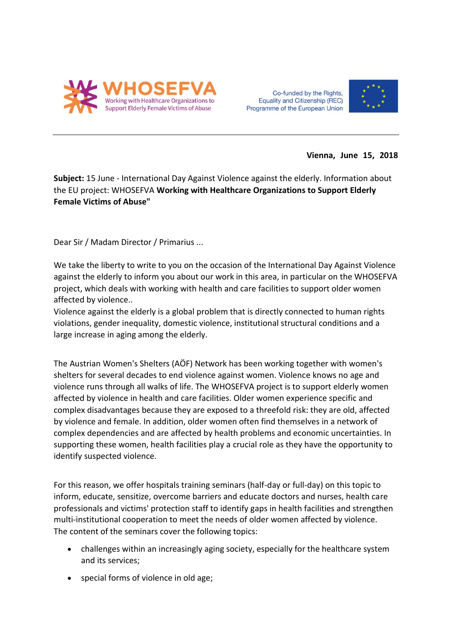

Co-funded by the Rights, Equality and Citizenship (REC) Programme of the European Union



**Vienna, June 15, 2018**

**Subject:** 15 June - International Day Against Violence against the elderly. Information about the EU project: WHOSEFVA **Working with Healthcare Organizations to Support Elderly Female Victims of Abuse"** 

Dear Sir / Madam Director / Primarius ...

We take the liberty to write to you on the occasion of the International Day Against Violence against the elderly to inform you about our work in this area, in particular on the WHOSEFVA project, which deals with working with health and care facilities to support older women affected by violence..

Violence against the elderly is a global problem that is directly connected to human rights violations, gender inequality, domestic violence, institutional structural conditions and a large increase in aging among the elderly.

The Austrian Women's Shelters (AÖF) Network has been working together with women's shelters for several decades to end violence against women. Violence knows no age and violence runs through all walks of life. The WHOSEFVA project is to support elderly women affected by violence in health and care facilities. Older women experience specific and complex disadvantages because they are exposed to a threefold risk: they are old, affected by violence and female. In addition, older women often find themselves in a network of complex dependencies and are affected by health problems and economic uncertainties. In supporting these women, health facilities play a crucial role as they have the opportunity to identify suspected violence.

For this reason, we offer hospitals training seminars (half-day or full-day) on this topic to inform, educate, sensitize, overcome barriers and educate doctors and nurses, health care professionals and victims' protection staff to identify gaps in health facilities and strengthen multi-institutional cooperation to meet the needs of older women affected by violence. The content of the seminars cover the following topics:

- challenges within an increasingly aging society, especially for the healthcare system and its services;
- special forms of violence in old age;